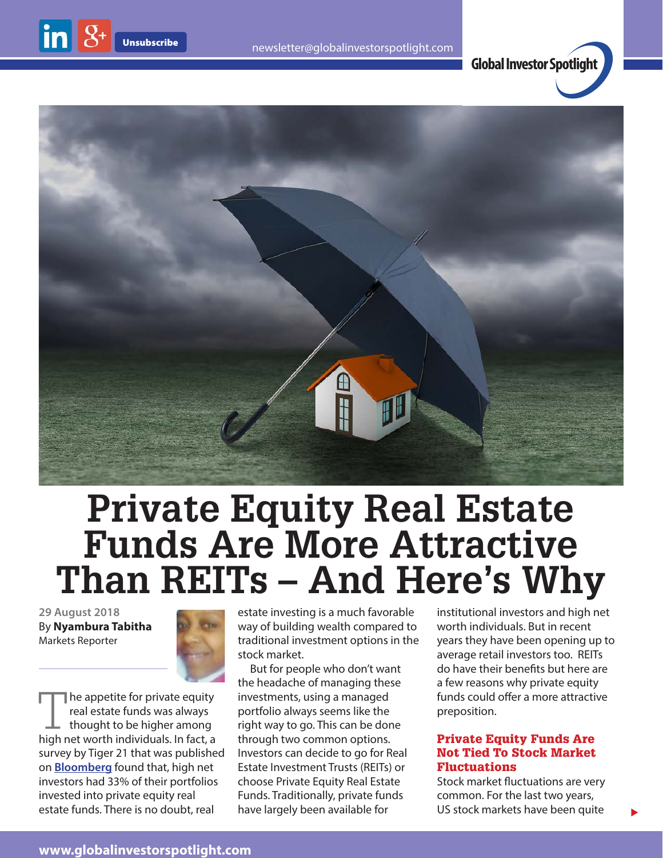



# **Private Equity Real Estate Funds Are More Attractive Than REITs – And Here's Why**

**29 August 2018** By **Nyambura Tabitha** Markets Reporter



The appetite for private equity real estate funds was always thought to be higher among high net worth individuals. In fact, a survey by Tiger 21 that was published on **[Bloomberg](https://www.bloomberg.com/news/articles/2017-07-18/wealthy-investors-leaving-hedge-funds-seek-haven-in-real-estate)** found that, high net investors had 33% of their portfolios invested into private equity real estate funds. There is no doubt, real

estate investing is a much favorable way of building wealth compared to traditional investment options in the stock market.

But for people who don't want the headache of managing these investments, using a managed portfolio always seems like the right way to go. This can be done through two common options. Investors can decide to go for Real Estate Investment Trusts (REITs) or choose Private Equity Real Estate Funds. Traditionally, private funds have largely been available for

institutional investors and high net worth individuals. But in recent years they have been opening up to average retail investors too. REITs do have their benefits but here are a few reasons why private equity funds could offer a more attractive preposition.

#### Private Equity Funds Are Not Tied To Stock Market Fluctuations

Stock market fluctuations are very common. For the last two years, US stock markets have been quite

 $\blacktriangleright$